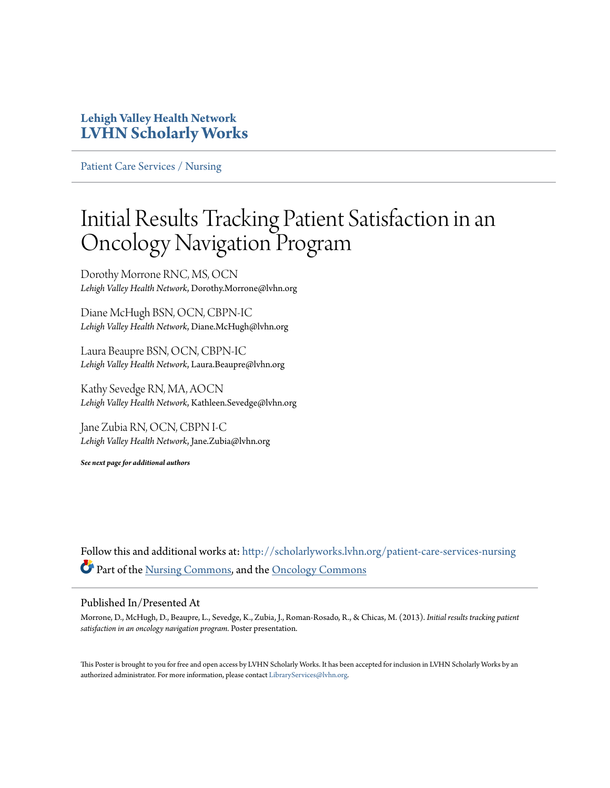#### **Lehigh Valley Health Network [LVHN Scholarly Works](http://scholarlyworks.lvhn.org?utm_source=scholarlyworks.lvhn.org%2Fpatient-care-services-nursing%2F259&utm_medium=PDF&utm_campaign=PDFCoverPages)**

[Patient Care Services / Nursing](http://scholarlyworks.lvhn.org/patient-care-services-nursing?utm_source=scholarlyworks.lvhn.org%2Fpatient-care-services-nursing%2F259&utm_medium=PDF&utm_campaign=PDFCoverPages)

#### Initial Results Tracking Patient Satisfaction in an Oncology Navigation Program

Dorothy Morrone RNC, MS, OCN *Lehigh Valley Health Network*, Dorothy.Morrone@lvhn.org

Diane McHugh BSN, OCN, CBPN-IC *Lehigh Valley Health Network*, Diane.McHugh@lvhn.org

Laura Beaupre BSN, OCN, CBPN-IC *Lehigh Valley Health Network*, Laura.Beaupre@lvhn.org

Kathy Sevedge RN, MA, AOCN *Lehigh Valley Health Network*, Kathleen.Sevedge@lvhn.org

Jane Zubia RN, OCN, CBPN I-C *Lehigh Valley Health Network*, Jane.Zubia@lvhn.org

*See next page for additional authors*

Follow this and additional works at: [http://scholarlyworks.lvhn.org/patient-care-services-nursing](http://scholarlyworks.lvhn.org/patient-care-services-nursing?utm_source=scholarlyworks.lvhn.org%2Fpatient-care-services-nursing%2F259&utm_medium=PDF&utm_campaign=PDFCoverPages) Part of the [Nursing Commons](http://network.bepress.com/hgg/discipline/718?utm_source=scholarlyworks.lvhn.org%2Fpatient-care-services-nursing%2F259&utm_medium=PDF&utm_campaign=PDFCoverPages), and the [Oncology Commons](http://network.bepress.com/hgg/discipline/694?utm_source=scholarlyworks.lvhn.org%2Fpatient-care-services-nursing%2F259&utm_medium=PDF&utm_campaign=PDFCoverPages)

#### Published In/Presented At

Morrone, D., McHugh, D., Beaupre, L., Sevedge, K., Zubia, J., Roman-Rosado, R., & Chicas, M. (2013). *Initial results tracking patient satisfaction in an oncology navigation program.* Poster presentation.

This Poster is brought to you for free and open access by LVHN Scholarly Works. It has been accepted for inclusion in LVHN Scholarly Works by an authorized administrator. For more information, please contact [LibraryServices@lvhn.org.](mailto:LibraryServices@lvhn.org)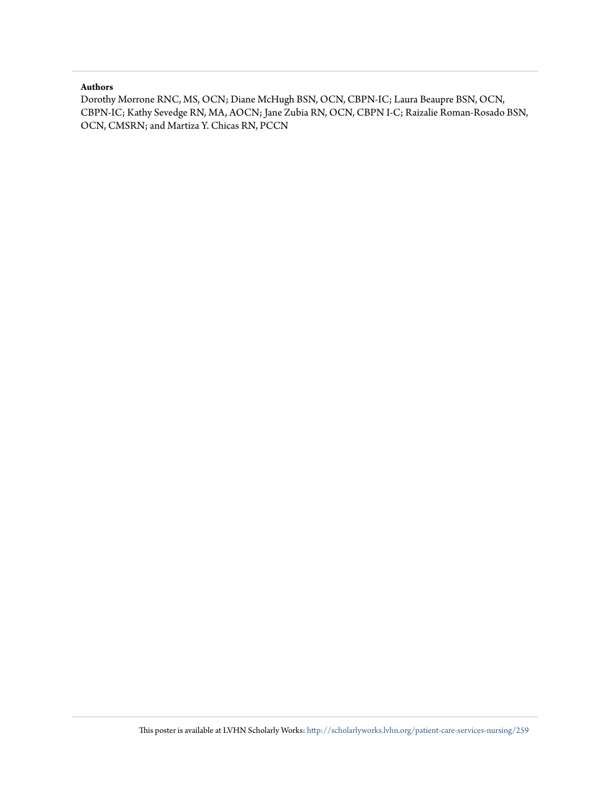#### **Authors**

Dorothy Morrone RNC, MS, OCN; Diane McHugh BSN, OCN, CBPN-IC; Laura Beaupre BSN, OCN, CBPN-IC; Kathy Sevedge RN, MA, AOCN; Jane Zubia RN, OCN, CBPN I-C; Raizalie Roman-Rosado BSN, OCN, CMSRN; and Martiza Y. Chicas RN, PCCN